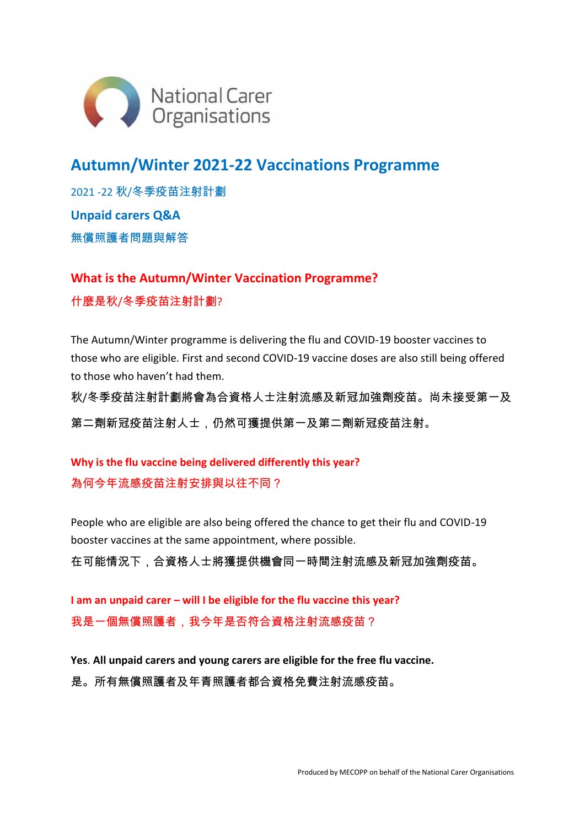

## **Autumn/Winter 2021-22 Vaccinations Programme**

2021 -22 秋/冬季疫苗注射計劃 **Unpaid carers Q&A** 無償照護者問題與解答

**What is the Autumn/Winter Vaccination Programme?** 什麼是秋/冬季疫苗注射計劃?

The Autumn/Winter programme is delivering the flu and COVID-19 booster vaccines to those who are eligible. First and second COVID-19 vaccine doses are also still being offered to those who haven't had them.

秋/冬季疫苗注射計劃將會為合資格人士注射流感及新冠加強劑疫苗。尚未接受第一及 第二劑新冠疫苗注射人士,仍然可獲提供第一及第二劑新冠疫苗注射。

**Why is the flu vaccine being delivered differently this year?** 為何今年流感疫苗注射安排與以往不同?

People who are eligible are also being offered the chance to get their flu and COVID-19 booster vaccines at the same appointment, where possible. 在可能情況下,合資格人士將獲提供機會同一時間注射流感及新冠加強劑疫苗。

**I am an unpaid carer – will I be eligible for the flu vaccine this year?** 我是一個無償照護者,我今年是否符合資格注射流感疫苗?

**Yes**. **All unpaid carers and young carers are eligible for the free flu vaccine.** 是。所有無償照護者及年青照護者都合資格免費注射流感疫苗。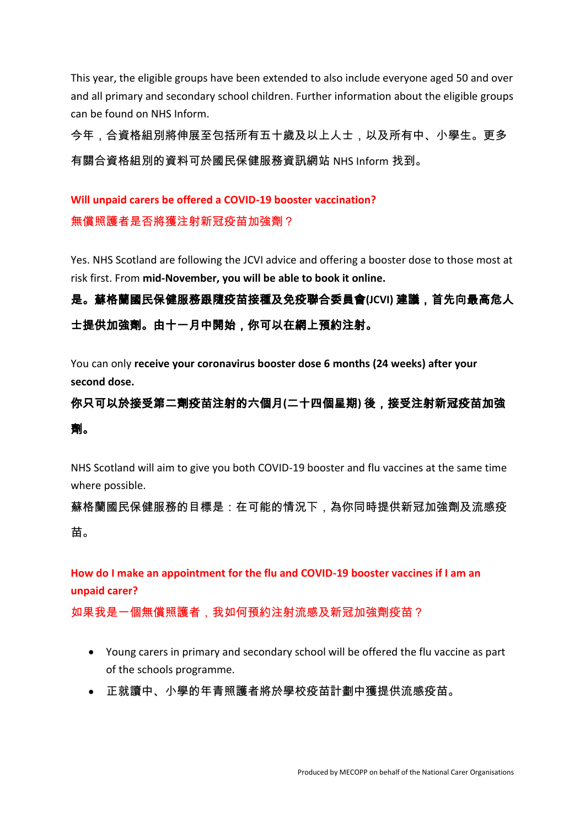This year, the eligible groups have been extended to also include everyone aged 50 and over and all primary and secondary school children. Further information about the eligible groups can be found on NHS Inform.

今年,合資格組別將伸展至包括所有五十歲及以上人士,以及所有中、小學生。更多 有關合資格組別的資料可於國民保健服務資訊網站 NHS Inform 找到。

### **Will unpaid carers be offered a COVID-19 booster vaccination?** 無償照護者是否將獲注射新冠疫苗加強劑?

Yes. NHS Scotland are following the JCVI advice and offering a booster dose to those most at risk first. From **mid-November, you will be able to book it online.**

## 是。蘇格蘭國民保健服務跟隨疫苗接種及免疫聯合委員會**(JCVI)** 建議,首先向最高危人 士提供加強劑。由十一月中開始,你可以在網上預約注射。

You can only **receive your coronavirus booster dose 6 months (24 weeks) after your second dose.**

# 你只可以於接受第二劑疫苗注射的六個月**(**二十四個星期**)** 後,接受注射新冠疫苗加強

#### 劑。

NHS Scotland will aim to give you both COVID-19 booster and flu vaccines at the same time where possible.

蘇格蘭國民保健服務的目標是:在可能的情況下,為你同時提供新冠加強劑及流感疫 苗。

**How do I make an appointment for the flu and COVID-19 booster vaccines if I am an unpaid carer?**

如果我是一個無償照護者,我如何預約注射流感及新冠加強劑疫苗?

- Young carers in primary and secondary school will be offered the flu vaccine as part of the schools programme.
- 正就讀中、小學的年青照護者將於學校疫苗計劃中獲提供流感疫苗。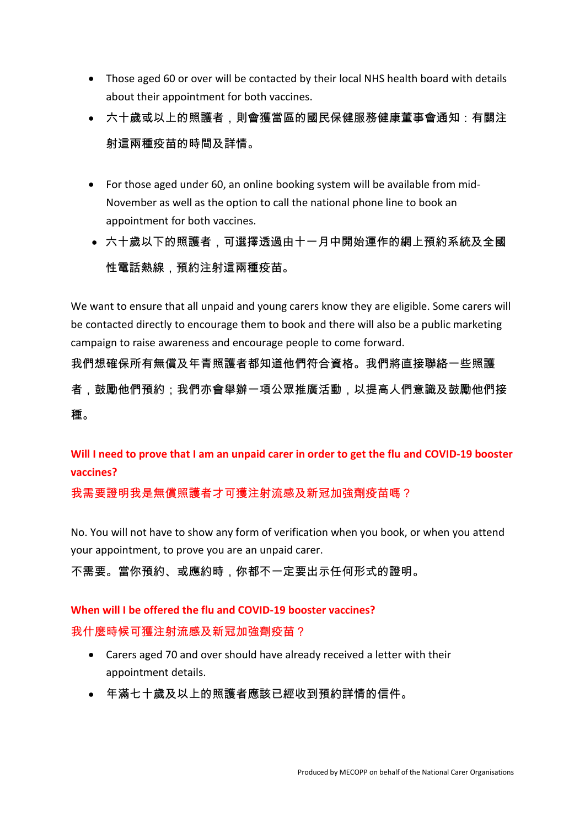- Those aged 60 or over will be contacted by their local NHS health board with details about their appointment for both vaccines.
- 六十歲或以上的照護者,則會獲當區的國民保健服務健康董事會通知:有關注 射這兩種疫苗的時間及詳情。
- For those aged under 60, an online booking system will be available from mid-November as well as the option to call the national phone line to book an appointment for both vaccines.
- 六十歲以下的照護者,可選擇透過由十一月中開始運作的網上預約系統及全國 性電話熱線,預約注射這兩種疫苗。

We want to ensure that all unpaid and young carers know they are eligible. Some carers will be contacted directly to encourage them to book and there will also be a public marketing campaign to raise awareness and encourage people to come forward.

我們想確保所有無償及年青照護者都知道他們符合資格。我們將直接聯絡一些照護 者,鼓勵他們預約;我們亦會舉辦一項公眾推廣活動,以提高人們意識及鼓勵他們接 種。

**Will I need to prove that I am an unpaid carer in order to get the flu and COVID-19 booster vaccines?**

我需要證明我是無償照護者才可獲注射流感及新冠加強劑疫苗嗎?

No. You will not have to show any form of verification when you book, or when you attend your appointment, to prove you are an unpaid carer.

不需要。當你預約、或應約時,你都不一定要出示任何形式的證明。

## **When will I be offered the flu and COVID-19 booster vaccines?**

我什麼時候可獲注射流感及新冠加強劑疫苗?

- Carers aged 70 and over should have already received a letter with their appointment details.
- 年滿七十歲及以上的照護者應該已經收到預約詳情的信件。